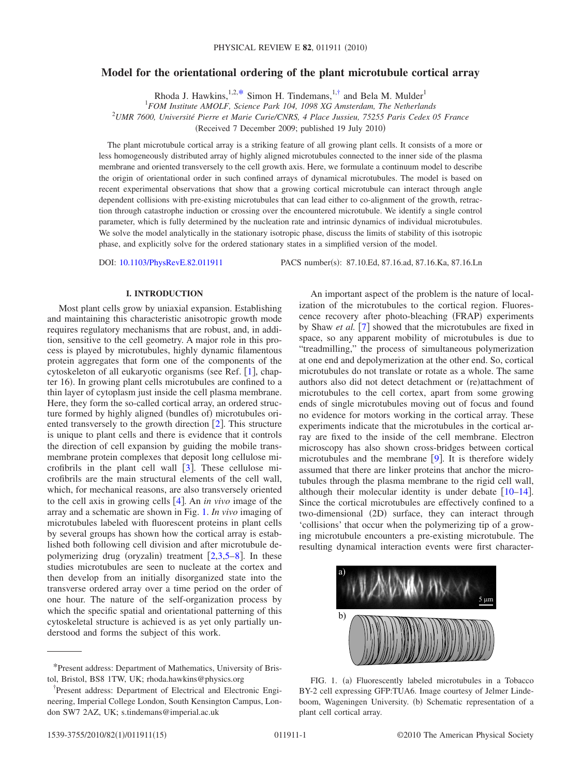# **Model for the orientational ordering of the plant microtubule cortical array**

Rhoda J. Hawkins, $1,2,*$  $1,2,*$  Simon H. Tindemans, $1,5$  and Bela M. Mulder<sup>1</sup>

1 *FOM Institute AMOLF, Science Park 104, 1098 XG Amsterdam, The Netherlands*

2 *UMR 7600, Université Pierre et Marie Curie/CNRS, 4 Place Jussieu, 75255 Paris Cedex 05 France*

Received 7 December 2009; published 19 July 2010-

The plant microtubule cortical array is a striking feature of all growing plant cells. It consists of a more or less homogeneously distributed array of highly aligned microtubules connected to the inner side of the plasma membrane and oriented transversely to the cell growth axis. Here, we formulate a continuum model to describe the origin of orientational order in such confined arrays of dynamical microtubules. The model is based on recent experimental observations that show that a growing cortical microtubule can interact through angle dependent collisions with pre-existing microtubules that can lead either to co-alignment of the growth, retraction through catastrophe induction or crossing over the encountered microtubule. We identify a single control parameter, which is fully determined by the nucleation rate and intrinsic dynamics of individual microtubules. We solve the model analytically in the stationary isotropic phase, discuss the limits of stability of this isotropic phase, and explicitly solve for the ordered stationary states in a simplified version of the model.

DOI: [10.1103/PhysRevE.82.011911](http://dx.doi.org/10.1103/PhysRevE.82.011911)

PACS number(s): 87.10.Ed, 87.16.ad, 87.16.Ka, 87.16.Ln

### **I. INTRODUCTION**

Most plant cells grow by uniaxial expansion. Establishing and maintaining this characteristic anisotropic growth mode requires regulatory mechanisms that are robust, and, in addition, sensitive to the cell geometry. A major role in this process is played by microtubules, highly dynamic filamentous protein aggregates that form one of the components of the cytoskeleton of all eukaryotic organisms (see Ref.  $[1]$  $[1]$  $[1]$ , chapter 16). In growing plant cells microtubules are confined to a thin layer of cytoplasm just inside the cell plasma membrane. Here, they form the so-called cortical array, an ordered structure formed by highly aligned (bundles of) microtubules oriented transversely to the growth direction  $[2]$  $[2]$  $[2]$ . This structure is unique to plant cells and there is evidence that it controls the direction of cell expansion by guiding the mobile transmembrane protein complexes that deposit long cellulose microfibrils in the plant cell wall  $\lceil 3 \rceil$  $\lceil 3 \rceil$  $\lceil 3 \rceil$ . These cellulose microfibrils are the main structural elements of the cell wall, which, for mechanical reasons, are also transversely oriented to the cell axis in growing cells [[4](#page-14-3)]. An *in vivo* image of the array and a schematic are shown in Fig. [1.](#page-0-2) *In vivo* imaging of microtubules labeled with fluorescent proteins in plant cells by several groups has shown how the cortical array is established both following cell division and after microtubule depolymerizing drug (oryzalin) treatment  $[2,3,5-8]$  $[2,3,5-8]$  $[2,3,5-8]$  $[2,3,5-8]$  $[2,3,5-8]$  $[2,3,5-8]$ . In these studies microtubules are seen to nucleate at the cortex and then develop from an initially disorganized state into the transverse ordered array over a time period on the order of one hour. The nature of the self-organization process by which the specific spatial and orientational patterning of this cytoskeletal structure is achieved is as yet only partially understood and forms the subject of this work.

An important aspect of the problem is the nature of localization of the microtubules to the cortical region. Fluorescence recovery after photo-bleaching (FRAP) experiments by Shaw *et al.* [[7](#page-14-6)] showed that the microtubules are fixed in space, so any apparent mobility of microtubules is due to "treadmilling," the process of simultaneous polymerization at one end and depolymerization at the other end. So, cortical microtubules do not translate or rotate as a whole. The same authors also did not detect detachment or (re)attachment of microtubules to the cell cortex, apart from some growing ends of single microtubules moving out of focus and found no evidence for motors working in the cortical array. These experiments indicate that the microtubules in the cortical array are fixed to the inside of the cell membrane. Electron microscopy has also shown cross-bridges between cortical microtubules and the membrane  $[9]$  $[9]$  $[9]$ . It is therefore widely assumed that there are linker proteins that anchor the microtubules through the plasma membrane to the rigid cell wall, although their molecular identity is under debate  $[10-14]$  $[10-14]$  $[10-14]$ . Since the cortical microtubules are effectively confined to a two-dimensional (2D) surface, they can interact through 'collisions' that occur when the polymerizing tip of a growing microtubule encounters a pre-existing microtubule. The resulting dynamical interaction events were first character-

<span id="page-0-2"></span>

FIG. 1. (a) Fluorescently labeled microtubules in a Tobacco BY-2 cell expressing GFP:TUA6. Image courtesy of Jelmer Lindeboom, Wageningen University. (b) Schematic representation of a plant cell cortical array.

<span id="page-0-0"></span><sup>\*</sup>Present address: Department of Mathematics, University of Bristol, Bristol, BS8 1TW, UK; rhoda.hawkins@physics.org

<span id="page-0-1"></span><sup>†</sup> Present address: Department of Electrical and Electronic Engineering, Imperial College London, South Kensington Campus, London SW7 2AZ, UK; s.tindemans@imperial.ac.uk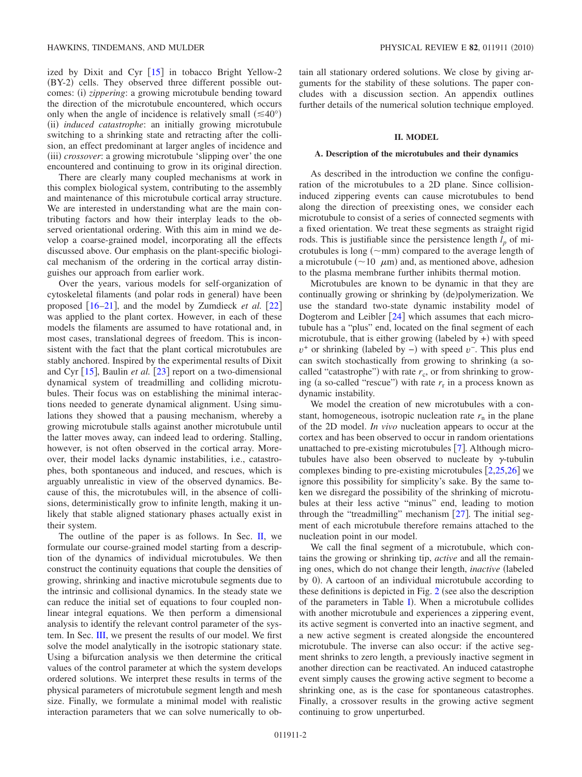ized by Dixit and Cyr  $[15]$  $[15]$  $[15]$  in tobacco Bright Yellow-2 (BY-2) cells. They observed three different possible outcomes: (i) *zippering*: a growing microtubule bending toward the direction of the microtubule encountered, which occurs only when the angle of incidence is relatively small  $(\leq 40^{\circ})$ (ii) *induced catastrophe*: an initially growing microtubule switching to a shrinking state and retracting after the collision, an effect predominant at larger angles of incidence and (iii) crossover: a growing microtubule 'slipping over' the one encountered and continuing to grow in its original direction.

There are clearly many coupled mechanisms at work in this complex biological system, contributing to the assembly and maintenance of this microtubule cortical array structure. We are interested in understanding what are the main contributing factors and how their interplay leads to the observed orientational ordering. With this aim in mind we develop a coarse-grained model, incorporating all the effects discussed above. Our emphasis on the plant-specific biological mechanism of the ordering in the cortical array distinguishes our approach from earlier work.

Over the years, various models for self-organization of cytoskeletal filaments (and polar rods in general) have been proposed  $\lceil 16-21 \rceil$  $\lceil 16-21 \rceil$  $\lceil 16-21 \rceil$ , and the model by Zumdieck *et al.*  $\lceil 22 \rceil$  $\lceil 22 \rceil$  $\lceil 22 \rceil$ was applied to the plant cortex. However, in each of these models the filaments are assumed to have rotational and, in most cases, translational degrees of freedom. This is inconsistent with the fact that the plant cortical microtubules are stably anchored. Inspired by the experimental results of Dixit and Cyr [[15](#page-14-10)], Baulin *et al.* [[23](#page-14-14)] report on a two-dimensional dynamical system of treadmilling and colliding microtubules. Their focus was on establishing the minimal interactions needed to generate dynamical alignment. Using simulations they showed that a pausing mechanism, whereby a growing microtubule stalls against another microtubule until the latter moves away, can indeed lead to ordering. Stalling, however, is not often observed in the cortical array. Moreover, their model lacks dynamic instabilities, i.e., catastrophes, both spontaneous and induced, and rescues, which is arguably unrealistic in view of the observed dynamics. Because of this, the microtubules will, in the absence of collisions, deterministically grow to infinite length, making it unlikely that stable aligned stationary phases actually exist in their system.

The outline of the paper is as follows. In Sec. [II,](#page-1-0) we formulate our course-grained model starting from a description of the dynamics of individual microtubules. We then construct the continuity equations that couple the densities of growing, shrinking and inactive microtubule segments due to the intrinsic and collisional dynamics. In the steady state we can reduce the initial set of equations to four coupled nonlinear integral equations. We then perform a dimensional analysis to identify the relevant control parameter of the system. In Sec. [III,](#page-7-0) we present the results of our model. We first solve the model analytically in the isotropic stationary state. Using a bifurcation analysis we then determine the critical values of the control parameter at which the system develops ordered solutions. We interpret these results in terms of the physical parameters of microtubule segment length and mesh size. Finally, we formulate a minimal model with realistic interaction parameters that we can solve numerically to obtain all stationary ordered solutions. We close by giving arguments for the stability of these solutions. The paper concludes with a discussion section. An appendix outlines further details of the numerical solution technique employed.

## **II. MODEL**

#### <span id="page-1-0"></span>**A. Description of the microtubules and their dynamics**

As described in the introduction we confine the configuration of the microtubules to a 2D plane. Since collisioninduced zippering events can cause microtubules to bend along the direction of preexisting ones, we consider each microtubule to consist of a series of connected segments with a fixed orientation. We treat these segments as straight rigid rods. This is justifiable since the persistence length  $l_p$  of microtubules is long ( $\sim$ mm) compared to the average length of a microtubule ( $\sim$ 10  $\mu$ m) and, as mentioned above, adhesion to the plasma membrane further inhibits thermal motion.

Microtubules are known to be dynamic in that they are continually growing or shrinking by (de)polymerization. We use the standard two-state dynamic instability model of Dogterom and Leibler  $\lceil 24 \rceil$  $\lceil 24 \rceil$  $\lceil 24 \rceil$  which assumes that each microtubule has a "plus" end, located on the final segment of each microtubule, that is either growing (labeled by  $+)$  with speed *v*<sup>+</sup> or shrinking (labeled by −) with speed *v*<sup>−</sup>. This plus end can switch stochastically from growing to shrinking (a socalled "catastrophe") with rate  $r_c$ , or from shrinking to growing (a so-called "rescue") with rate  $r_r$  in a process known as dynamic instability.

We model the creation of new microtubules with a constant, homogeneous, isotropic nucleation rate  $r_n$  in the plane of the 2D model. *In vivo* nucleation appears to occur at the cortex and has been observed to occur in random orientations unattached to pre-existing microtubules  $[7]$  $[7]$  $[7]$ . Although microtubules have also been observed to nucleate by  $\gamma$ -tubulin complexes binding to pre-existing microtubules  $[2,25,26]$  $[2,25,26]$  $[2,25,26]$  $[2,25,26]$  $[2,25,26]$  we ignore this possibility for simplicity's sake. By the same token we disregard the possibility of the shrinking of microtubules at their less active "minus" end, leading to motion through the "treadmilling" mechanism  $[27]$  $[27]$  $[27]$ . The initial segment of each microtubule therefore remains attached to the nucleation point in our model.

We call the final segment of a microtubule, which contains the growing or shrinking tip, *active* and all the remaining ones, which do not change their length, *inactive* (labeled by 0). A cartoon of an individual microtubule according to these definitions is depicted in Fig.  $2$  (see also the description of the parameters in Table [I](#page-2-1)). When a microtubule collides with another microtubule and experiences a zippering event, its active segment is converted into an inactive segment, and a new active segment is created alongside the encountered microtubule. The inverse can also occur: if the active segment shrinks to zero length, a previously inactive segment in another direction can be reactivated. An induced catastrophe event simply causes the growing active segment to become a shrinking one, as is the case for spontaneous catastrophes. Finally, a crossover results in the growing active segment continuing to grow unperturbed.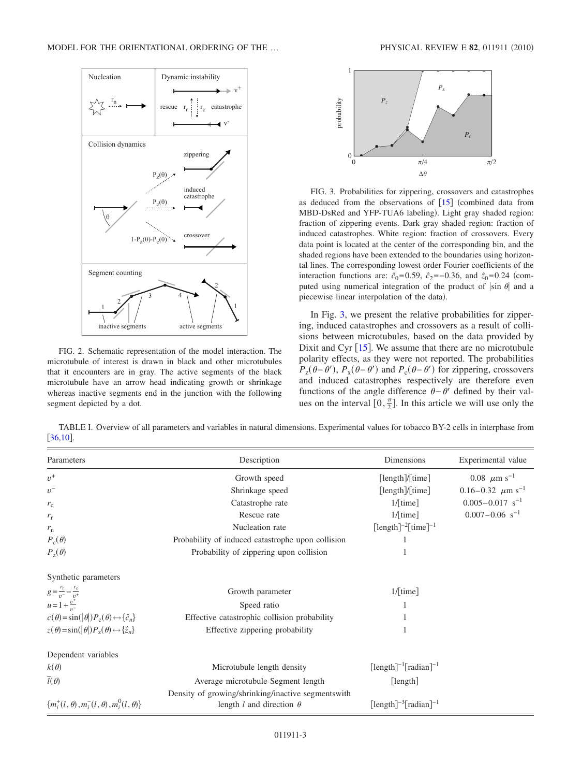<span id="page-2-0"></span>

FIG. 2. Schematic representation of the model interaction. The microtubule of interest is drawn in black and other microtubules that it encounters are in gray. The active segments of the black microtubule have an arrow head indicating growth or shrinkage whereas inactive segments end in the junction with the following segment depicted by a dot.

<span id="page-2-2"></span>

FIG. 3. Probabilities for zippering, crossovers and catastrophes as deduced from the observations of  $[15]$  $[15]$  $[15]$  (combined data from MBD-DsRed and YFP-TUA6 labeling). Light gray shaded region: fraction of zippering events. Dark gray shaded region: fraction of induced catastrophes. White region: fraction of crossovers. Every data point is located at the center of the corresponding bin, and the shaded regions have been extended to the boundaries using horizontal lines. The corresponding lowest order Fourier coefficients of the interaction functions are:  $\hat{c}_0$ =0.59,  $\hat{c}_2$ =−0.36, and  $\hat{z}_0$ =0.24 (computed using numerical integration of the product of  $|\sin \theta|$  and a piecewise linear interpolation of the data).

In Fig. [3,](#page-2-2) we present the relative probabilities for zippering, induced catastrophes and crossovers as a result of collisions between microtubules, based on the data provided by Dixit and Cyr  $[15]$  $[15]$  $[15]$ . We assume that there are no microtubule polarity effects, as they were not reported. The probabilities  $P_z(\theta-\theta')$ ,  $P_x(\theta-\theta')$  and  $P_c(\theta-\theta')$  for zippering, crossovers and induced catastrophes respectively are therefore even functions of the angle difference  $\theta - \theta'$  defined by their values on the interval  $[0, \frac{\pi}{2}]$ . In this article we will use only the

<span id="page-2-1"></span>TABLE I. Overview of all parameters and variables in natural dimensions. Experimental values for tobacco BY-2 cells in interphase from  $[36,10]$  $[36,10]$  $[36,10]$  $[36,10]$ .

| Parameters                                                             | Description                                                                              | Dimensions                                                          | Experimental value                |
|------------------------------------------------------------------------|------------------------------------------------------------------------------------------|---------------------------------------------------------------------|-----------------------------------|
| $v^+$                                                                  | Growth speed                                                                             | [length]/[time]                                                     | 0.08 $\mu$ m s <sup>-1</sup>      |
| $v^-$                                                                  | Shrinkage speed                                                                          | [length]/[time]                                                     | 0.16–0.32 $\mu$ m s <sup>-1</sup> |
| $r_{\rm c}$                                                            | Catastrophe rate                                                                         | $1/[\text{time}]$                                                   | $0.005 - 0.017$ s <sup>-1</sup>   |
| $r_{\rm r}$                                                            | Rescue rate                                                                              | $1/[\text{time}]$                                                   | $0.007 - 0.06$ s <sup>-1</sup>    |
| $r_{\rm n}$                                                            | Nucleation rate                                                                          | $[length]-2[time]-1$                                                |                                   |
| $P_{\rm c}(\theta)$                                                    | Probability of induced catastrophe upon collision                                        |                                                                     |                                   |
| $P_{\rm z}(\theta)$                                                    | Probability of zippering upon collision                                                  |                                                                     |                                   |
| Synthetic parameters                                                   |                                                                                          |                                                                     |                                   |
| $g = \frac{r_r}{v^-} - \frac{r_c}{v^+}$                                | Growth parameter                                                                         | $1/[\text{time}]$                                                   |                                   |
| $u=1+\frac{v^{+}}{v^{-}}$                                              | Speed ratio                                                                              |                                                                     |                                   |
| $c(\theta) = \sin( \theta ) P_c(\theta) \leftrightarrow \{\hat{c}_n\}$ | Effective catastrophic collision probability                                             |                                                                     |                                   |
| $z(\theta) = \sin( \theta ) P_z(\theta) \leftrightarrow \{\hat{z}_n\}$ | Effective zippering probability                                                          |                                                                     |                                   |
| Dependent variables                                                    |                                                                                          |                                                                     |                                   |
| $k(\theta)$                                                            | Microtubule length density                                                               | $[length]$ <sup>-1</sup> $[radian]$ <sup>-1</sup>                   |                                   |
| $\overline{l}(\theta)$                                                 | Average microtubule Segment length                                                       | [length]                                                            |                                   |
| ${m_i^+(l, \theta), m_i^-(l, \theta), m_i^0(l, \theta)}$               | Density of growing/shrinking/inactive segments with<br>length $l$ and direction $\theta$ | $\lceil \text{length} \rceil^{-3} \lceil \text{radian} \rceil^{-1}$ |                                   |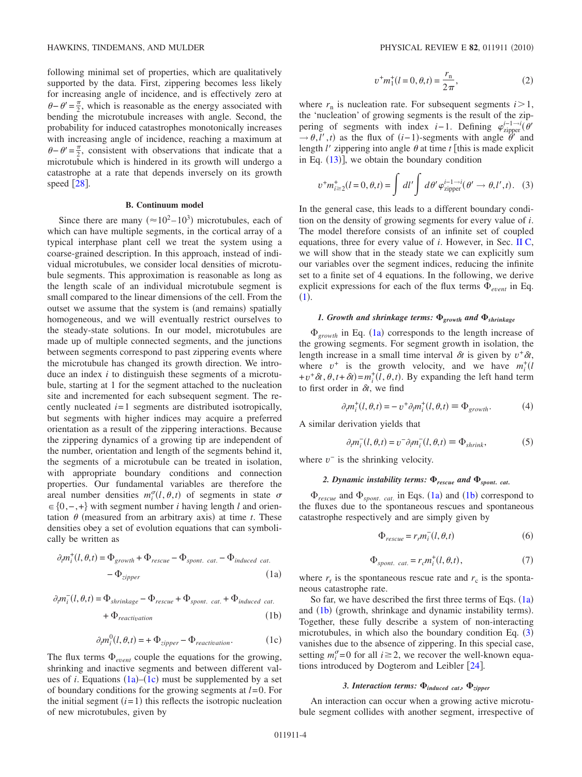following minimal set of properties, which are qualitatively supported by the data. First, zippering becomes less likely for increasing angle of incidence, and is effectively zero at  $\theta - \theta' = \frac{\pi}{2}$ , which is reasonable as the energy associated with bending the microtubule increases with angle. Second, the probability for induced catastrophes monotonically increases with increasing angle of incidence, reaching a maximum at  $\theta - \theta' = \frac{\pi}{2}$ , consistent with observations that indicate that a microtubule which is hindered in its growth will undergo a catastrophe at a rate that depends inversely on its growth speed  $\lceil 28 \rceil$  $\lceil 28 \rceil$  $\lceil 28 \rceil$ .

## **B. Continuum model**

Since there are many ( $\approx 10^2 - 10^3$ ) microtubules, each of which can have multiple segments, in the cortical array of a typical interphase plant cell we treat the system using a coarse-grained description. In this approach, instead of individual microtubules, we consider local densities of microtubule segments. This approximation is reasonable as long as the length scale of an individual microtubule segment is small compared to the linear dimensions of the cell. From the outset we assume that the system is (and remains) spatially homogeneous, and we will eventually restrict ourselves to the steady-state solutions. In our model, microtubules are made up of multiple connected segments, and the junctions between segments correspond to past zippering events where the microtubule has changed its growth direction. We introduce an index *i* to distinguish these segments of a microtubule, starting at 1 for the segment attached to the nucleation site and incremented for each subsequent segment. The recently nucleated  $i=1$  segments are distributed isotropically, but segments with higher indices may acquire a preferred orientation as a result of the zippering interactions. Because the zippering dynamics of a growing tip are independent of the number, orientation and length of the segments behind it, the segments of a microtubule can be treated in isolation, with appropriate boundary conditions and connection properties. Our fundamental variables are therefore the areal number densities  $m_i^{\sigma}(l, \theta, t)$  of segments in state  $\sigma$ 0,−,+ with segment number *i* having length *l* and orientation  $\theta$  (measured from an arbitrary axis) at time *t*. These densities obey a set of evolution equations that can symbolically be written as

<span id="page-3-0"></span>
$$
\partial_t m_i^+(l, \theta, t) = \Phi_{growth} + \Phi_{rescue} - \Phi_{spont. \ cat.} - \Phi_{induced \ cat.} - \Phi_{zipper}
$$
\n(1a)

<span id="page-3-2"></span>
$$
\partial_t m_i^-(l, \theta, t) = \Phi_{shrinkage} - \Phi_{rescue} + \Phi_{spont. \ cat.} + \Phi_{induced \ cat.} + \Phi_{reactivation} \eqno{(1b)}
$$

$$
\partial_t m_i^0(l, \theta, t) = + \Phi_{\text{zipper}} - \Phi_{\text{reaction}}.
$$
 (1c)

<span id="page-3-1"></span>The flux terms  $\Phi_{event}$  couple the equations for the growing, shrinking and inactive segments and between different values of *i*. Equations  $(1a)$  $(1a)$  $(1a)$ – $(1c)$  $(1c)$  $(1c)$  must be supplemented by a set of boundary conditions for the growing segments at *l*=0. For the initial segment  $(i=1)$  this reflects the isotropic nucleation of new microtubules, given by

$$
v^{+}m_{1}^{+}(l=0,\theta,t)=\frac{r_{n}}{2\pi},
$$
\n(2)

<span id="page-3-6"></span>where  $r_n$  is nucleation rate. For subsequent segments  $i > 1$ , the 'nucleation' of growing segments is the result of the zippering of segments with index *i*−1. Defining  $\varphi_{\text{zipper}}^{i-1\to i}(\theta)$  $\rightarrow \theta, l', t$  as the flux of *(i*−1)-segments with angle  $\theta'$  and length *l'* zippering into angle  $\theta$  at time *t* [this is made explicit] in Eq.  $(13)$  $(13)$  $(13)$ ], we obtain the boundary condition

<span id="page-3-3"></span>
$$
v^{+}m_{i\geq 2}^{+}(l=0,\theta,t)=\int dl'\int d\theta'\,\varphi_{\text{zipper}}^{i-1\to i}(\theta'\to\theta,l',t). \tag{3}
$$

In the general case, this leads to a different boundary condition on the density of growing segments for every value of *i*. The model therefore consists of an infinite set of coupled equations, three for every value of *i*. However, in Sec. [II C,](#page-5-0) we will show that in the steady state we can explicitly sum our variables over the segment indices, reducing the infinite set to a finite set of 4 equations. In the following, we derive explicit expressions for each of the flux terms  $\Phi_{event}$  in Eq.  $(1).$  $(1).$  $(1).$ 

## *1. Growth and shrinkage terms:*  $\Phi_{growth}$  *and*  $\Phi_{shrinkage}$

 $\Phi_{growth}$  in Eq. ([1a](#page-3-0)) corresponds to the length increase of the growing segments. For segment growth in isolation, the length increase in a small time interval  $\delta t$  is given by  $v^+ \delta t$ , where  $v^+$  is the growth velocity, and we have  $m_i^+(l)$ + $v^+ \delta t$ ,  $\theta$ ,  $t + \delta t$ ) =  $m_i^+(l, \theta, t)$ . By expanding the left hand term to first order in  $\delta t$ , we find

$$
\partial_t m_i^+(l, \theta, t) = -v^+ \partial_l m_i^+(l, \theta, t) \equiv \Phi_{growth}.
$$
 (4)

<span id="page-3-5"></span><span id="page-3-4"></span>A similar derivation yields that

$$
\partial_t m_i^-(l, \theta, t) = v^- \partial_l m_i^-(l, \theta, t) \equiv \Phi_{shrink}, \tag{5}
$$

where *v*<sup>−</sup> is the shrinking velocity.

## 2. Dynamic instability terms:  $\Phi_{rescue}$  and  $\Phi_{spot.}$  *cat*.

 $\Phi_{rescue}$  and  $\Phi_{spont. \ cat.}$  in Eqs. ([1a](#page-3-0)) and ([1b](#page-3-2)) correspond to the fluxes due to the spontaneous rescues and spontaneous catastrophe respectively and are simply given by

$$
\Phi_{rescue} = r_r m_i^-(l, \theta, t) \tag{6}
$$

$$
\Phi_{\text{spont. cat.}} = r_c m_i^+(l, \theta, t),\tag{7}
$$

where  $r_r$  is the spontaneous rescue rate and  $r_c$  is the spontaneous catastrophe rate.

So far, we have described the first three terms of Eqs.  $(1a)$  $(1a)$  $(1a)$ and ([1b](#page-3-2)) (growth, shrinkage and dynamic instability terms). Together, these fully describe a system of non-interacting microtubules, in which also the boundary condition Eq. ([3](#page-3-3)) vanishes due to the absence of zippering. In this special case, setting  $m_i^{\sigma} = 0$  for all  $i \ge 2$ , we recover the well-known equations introduced by Dogterom and Leibler  $[24]$  $[24]$  $[24]$ .

## 3. Interaction terms:  $\Phi$ <sub>induced cat</sub>,  $\Phi$ <sub>zipper</sub>

An interaction can occur when a growing active microtubule segment collides with another segment, irrespective of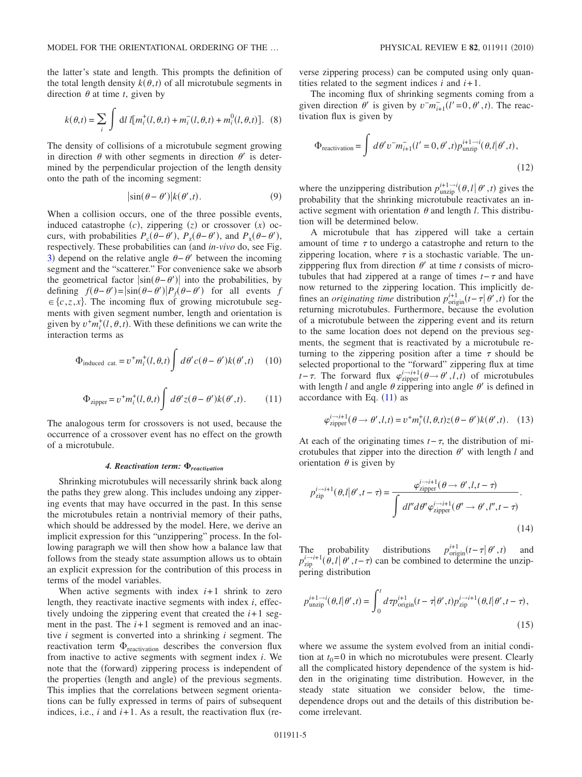the latter's state and length. This prompts the definition of the total length density  $k(\theta, t)$  of all microtubule segments in direction  $\theta$  at time *t*, given by

<span id="page-4-5"></span>
$$
k(\theta, t) = \sum_{i} \int \, \mathrm{d}l \, I[m_i^+(l, \theta, t) + m_i^-(l, \theta, t) + m_i^0(l, \theta, t)]. \tag{8}
$$

The density of collisions of a microtubule segment growing in direction  $\theta$  with other segments in direction  $\theta'$  is determined by the perpendicular projection of the length density onto the path of the incoming segment:

$$
|\sin(\theta - \theta')| k(\theta', t). \tag{9}
$$

When a collision occurs, one of the three possible events, induced catastrophe  $(c)$ , zippering  $(z)$  or crossover  $(x)$  occurs, with probabilities  $P_c(\theta - \theta')$ ,  $P_z(\theta - \theta')$ , and  $P_x(\theta - \theta')$ , respectively. These probabilities can (and *in-vivo* do, see Fig. [3](#page-2-2)) depend on the relative angle  $\theta - \theta'$  between the incoming segment and the "scatterer." For convenience sake we absorb the geometrical factor  $|\sin(\theta-\theta')|$  into the probabilities, by defining  $f(\theta - \theta') = |\sin(\theta - \theta')| P_f(\theta - \theta')$  for all events *f*  $\in \{c, z, x\}$ . The incoming flux of growing microtubule segments with given segment number, length and orientation is given by  $v^+ m_i^+(l, \theta, t)$ . With these definitions we can write the interaction terms as

$$
\Phi_{\text{induced cat.}} = v^+ m_i^+(l, \theta, t) \int d\theta' c(\theta - \theta') k(\theta', t) \tag{10}
$$

<span id="page-4-1"></span>
$$
\Phi_{\text{zipper}} = v^+ m_i^+(l, \theta, t) \int d\theta' z (\theta - \theta') k(\theta', t). \tag{11}
$$

The analogous term for crossovers is not used, because the occurrence of a crossover event has no effect on the growth of a microtubule.

## 4. Reactivation term:  $\Phi$ <sub>reactivation</sub>

Shrinking microtubules will necessarily shrink back along the paths they grew along. This includes undoing any zippering events that may have occurred in the past. In this sense the microtubules retain a nontrivial memory of their paths, which should be addressed by the model. Here, we derive an implicit expression for this "unzippering" process. In the following paragraph we will then show how a balance law that follows from the steady state assumption allows us to obtain an explicit expression for the contribution of this process in terms of the model variables.

When active segments with index  $i+1$  shrink to zero length, they reactivate inactive segments with index *i*, effectively undoing the zippering event that created the  $i+1$  segment in the past. The  $i+1$  segment is removed and an inactive *i* segment is converted into a shrinking *i* segment. The reactivation term  $\Phi_{\text{reaction}}$  describes the conversion flux from inactive to active segments with segment index *i*. We note that the (forward) zippering process is independent of the properties (length and angle) of the previous segments. This implies that the correlations between segment orientations can be fully expressed in terms of pairs of subsequent indices, i.e.,  $i$  and  $i+1$ . As a result, the reactivation flux (rePHYSICAL REVIEW E 82, 011911 (2010)

verse zippering process) can be computed using only quantities related to the segment indices  $i$  and  $i+1$ .

The incoming flux of shrinking segments coming from a given direction  $\theta'$  is given by  $v^- m_{i+1}^- (l' = 0, \theta', t)$ . The reactivation flux is given by

<span id="page-4-4"></span>
$$
\Phi_{\text{reaction}} = \int d\theta' v^- m_{i+1}^- (l' = 0, \theta', t) p_{\text{unzip}}^{i+1 \to i}(\theta, l | \theta', t),
$$
\n(12)

where the unzippering distribution  $p_{\text{unzip}}^{i+1\to i}(\theta, l | \theta', t)$  gives the probability that the shrinking microtubule reactivates an inactive segment with orientation  $\theta$  and length *l*. This distribution will be determined below.

A microtubule that has zippered will take a certain amount of time  $\tau$  to undergo a catastrophe and return to the zippering location, where  $\tau$  is a stochastic variable. The unzipppering flux from direction  $\theta'$  at time *t* consists of microtubules that had zippered at a range of times  $t - \tau$  and have now returned to the zippering location. This implicitly defines an *originating time* distribution  $p_{\text{origin}}^{i+1}(t-\tau | \theta', t)$  for the returning microtubules. Furthermore, because the evolution of a microtubule between the zippering event and its return to the same location does not depend on the previous segments, the segment that is reactivated by a microtubule returning to the zippering position after a time  $\tau$  should be selected proportional to the "forward" zippering flux at time *t*− $\tau$ . The forward flux  $\varphi_{\text{zipper}}^{i\to i+1}(\theta \to \theta', l, t)$  of microtubules with length *l* and angle  $\theta$  zippering into angle  $\theta'$  is defined in accordance with Eq.  $(11)$  $(11)$  $(11)$  as

<span id="page-4-0"></span>
$$
\varphi_{\text{zipper}}^{i \to i+1}(\theta \to \theta', l, t) = v^+ m_i^+(l, \theta, t) z(\theta - \theta') k(\theta', t). \tag{13}
$$

At each of the originating times  $t - \tau$ , the distribution of microtubules that zipper into the direction  $\theta'$  with length *l* and orientation  $\theta$  is given by

<span id="page-4-2"></span>
$$
p_{\text{zip}}^{i \to i+1}(\theta, l | \theta', t - \tau) = \frac{\varphi_{\text{zipper}}^{i \to i+1}(\theta \to \theta', l, t - \tau)}{\int dl'' d\theta'' \varphi_{\text{zipper}}^{i \to i+1}(\theta' \to \theta', l'', t - \tau)}.
$$
\n(14)

The probability distributions  $p_{\text{origin}}^{i+1}(t-\tau | \theta', t)$  and  $p_{\text{zip}}^{i \to i+1}(\theta, l | \theta', t-\tau)$  can be combined to determine the unzippering distribution

<span id="page-4-3"></span>
$$
p_{\text{unzip}}^{i+1 \to i}(\theta, l|\theta', t) = \int_0^t d\tau p_{\text{origin}}^{i+1}(t - \tau|\theta', t) p_{\text{zip}}^{i \to i+1}(\theta, l|\theta', t - \tau),
$$
\n(15)

where we assume the system evolved from an initial condition at  $t_0=0$  in which no microtubules were present. Clearly all the complicated history dependence of the system is hidden in the originating time distribution. However, in the steady state situation we consider below, the timedependence drops out and the details of this distribution become irrelevant.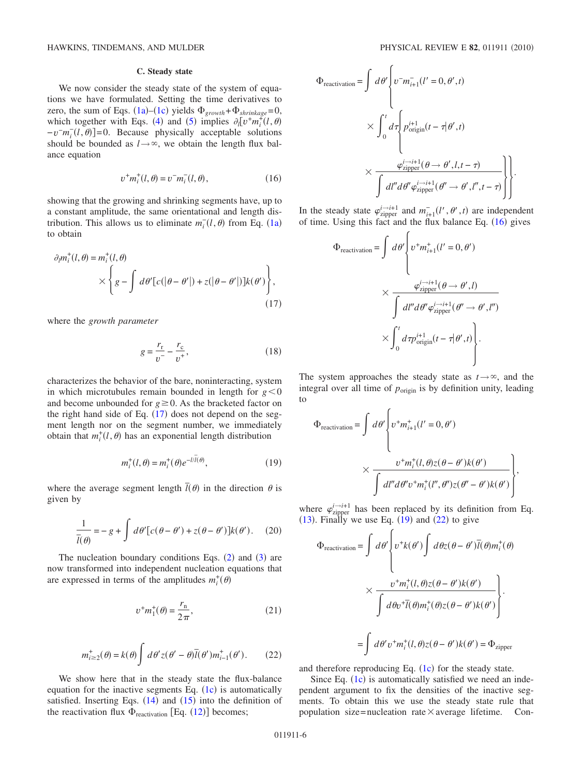## **C. Steady state**

<span id="page-5-0"></span>We now consider the steady state of the system of equations we have formulated. Setting the time derivatives to zero, the sum of Eqs.  $(1a)$  $(1a)$  $(1a)$ – $(1c)$  $(1c)$  $(1c)$  yields  $\Phi_{growth} + \Phi_{shrinkage} = 0$ , which together with Eqs. ([4](#page-3-4)) and ([5](#page-3-5)) implies  $\partial_l[v^+m_i^{\dagger}(l,\theta)]$  $-v^-m_i^-(l, \theta)$ ]=0. Because physically acceptable solutions should be bounded as  $l \rightarrow \infty$ , we obtain the length flux balance equation

$$
v^{+}m_{i}^{+}(l,\theta) = v^{-}m_{i}^{-}(l,\theta), \qquad (16)
$$

<span id="page-5-2"></span>showing that the growing and shrinking segments have, up to a constant amplitude, the same orientational and length distribution. This allows us to eliminate  $m_i^-(l, \theta)$  from Eq. ([1a](#page-3-0)) to obtain

<span id="page-5-1"></span>
$$
\partial_l m_i^+(l, \theta) = m_i^+(l, \theta)
$$
  
 
$$
\times \left\{ g - \int d\theta' [c(|\theta - \theta'|) + z(|\theta - \theta'|)] k(\theta') \right\},
$$
 (17)

where the *growth parameter*

$$
g = \frac{r_{\rm r}}{v^{-}} - \frac{r_{\rm c}}{v^{+}},\tag{18}
$$

characterizes the behavior of the bare, noninteracting, system in which microtubules remain bounded in length for  $g < 0$ and become unbounded for  $g \ge 0$ . As the bracketed factor on the right hand side of Eq.  $(17)$  $(17)$  $(17)$  does not depend on the segment length nor on the segment number, we immediately obtain that  $m_i^+(l, \theta)$  has an exponential length distribution

$$
m_i^+(l,\theta) = m_i^+(\theta)e^{-l/\bar{l}(\theta)},\tag{19}
$$

<span id="page-5-3"></span>where the average segment length  $\bar{l}(\theta)$  in the direction  $\theta$  is given by

<span id="page-5-6"></span>
$$
\frac{1}{\bar{l}(\theta)} = -g + \int d\theta' [c(\theta - \theta') + z(\theta - \theta')] k(\theta'). \quad (20)
$$

<span id="page-5-5"></span>The nucleation boundary conditions Eqs.  $(2)$  $(2)$  $(2)$  and  $(3)$  $(3)$  $(3)$  are now transformed into independent nucleation equations that are expressed in terms of the amplitudes  $m_i^+(\theta)$ 

$$
v^{+}m_{1}^{+}(\theta) = \frac{r_{n}}{2\pi},
$$
\n(21)

<span id="page-5-4"></span>
$$
m_{i\geq 2}^+(\theta) = k(\theta) \int d\theta' z(\theta' - \theta) \overline{l}(\theta') m_{i-1}^+(\theta'). \tag{22}
$$

We show here that in the steady state the flux-balance equation for the inactive segments Eq.  $(1c)$  $(1c)$  $(1c)$  is automatically satisfied. Inserting Eqs.  $(14)$  $(14)$  $(14)$  and  $(15)$  $(15)$  $(15)$  into the definition of the reactivation flux  $\Phi_{\text{reaction}}$  [Eq. ([12](#page-4-4))] becomes;

$$
\Phi_{\text{reaction}} = \int d\theta' \left\{ v^- m_{i+1}^-(l' = 0, \theta', t) \times \int_0^t d\tau \left\{ p_{\text{origin}}^{i+1}(t - \tau | \theta', t) \times \frac{\varphi_{\text{zipper}}^{i \to i+1}(\theta \to \theta', l, t - \tau)}{\int d l'' d\theta' \varphi_{\text{zipper}}^{i \to i+1}(\theta' \to \theta', l'', t - \tau)} \right\} \right\}.
$$

In the steady state  $\varphi_{\text{zipper}}^{i \to i+1}$  and  $m_{i+1}^{-}(l', \theta', t)$  are independent of time. Using this fact and the flux balance Eq.  $(16)$  $(16)$  $(16)$  gives

$$
\Phi_{\text{reaction}} = \int d\theta' \left\{ v^+ m_{i+1}^+(l' = 0, \theta') \times \frac{\varphi_{\text{zipper}}^{i \to i+1}(\theta \to \theta', l)}{\int d l'' d\theta' \varphi_{\text{zipper}}^{i \to i+1}(\theta' \to \theta', l'')} \times \int_0^t d\tau p_{\text{origin}}^{i+1}(t - \tau | \theta', t) \right\}.
$$

The system approaches the steady state as  $t \rightarrow \infty$ , and the integral over all time of  $p_{origin}$  is by definition unity, leading to

$$
\Phi_{\text{reaction}} = \int d\theta' \left\{ v^+ m_{i+1}^+(l' = 0, \theta') \times \frac{v^+ m_i^+(l, \theta) z(\theta - \theta') k(\theta')}{\int d l'' d\theta' v^+ m_i^+(l'', \theta'') z(\theta' - \theta') k(\theta')} \right\},\,
$$

where  $\varphi_{\text{zipper}}^{i\to i+1}$  has been replaced by its definition from Eq.  $(13)$  $(13)$  $(13)$ . Finally we use Eq.  $(19)$  $(19)$  $(19)$  and  $(22)$  $(22)$  $(22)$  to give

$$
\Phi_{\text{reaction}} = \int d\theta' \left\{ v^+ k(\theta') \int d\theta z (\theta - \theta') \overline{l}(\theta) m_i^+(\theta) \right\}
$$

$$
\times \frac{v^+ m_i^+(l, \theta) z (\theta - \theta') k(\theta')}{\int d\theta v^+ \overline{l}(\theta) m_i^+(\theta) z (\theta - \theta') k(\theta')} \right\}.
$$

$$
= \int d\theta' v^+ m_i^+(l, \theta) z (\theta - \theta') k(\theta') = \Phi_{\text{zipper}}
$$

and therefore reproducing Eq. ([1c](#page-3-1)) for the steady state.

Since Eq. ([1c](#page-3-1)) is automatically satisfied we need an independent argument to fix the densities of the inactive segments. To obtain this we use the steady state rule that population size=nucleation rate $\times$  average lifetime. Con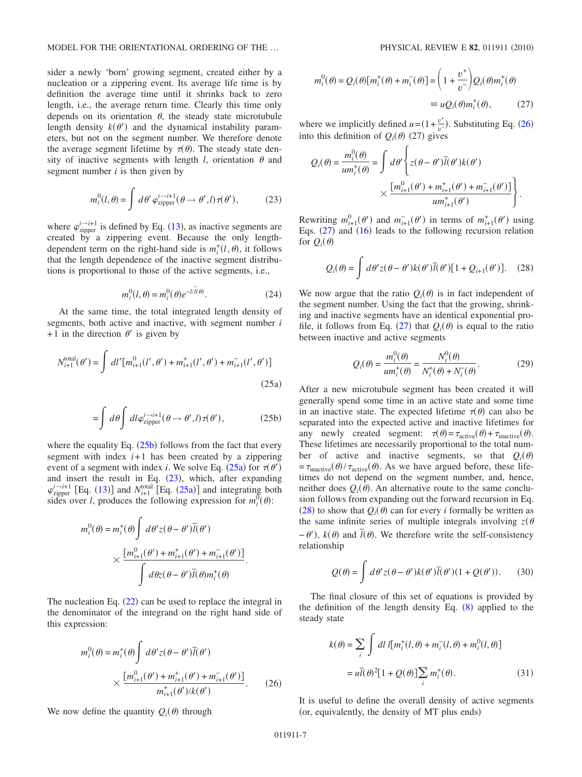sider a newly 'born' growing segment, created either by a nucleation or a zippering event. Its average life time is by definition the average time until it shrinks back to zero length, i.e., the average return time. Clearly this time only depends on its orientation  $\theta$ , the steady state microtubule length density  $k(\theta')$  and the dynamical instability parameters, but not on the segment number. We therefore denote the average segment lifetime by  $\tau(\theta)$ . The steady state density of inactive segments with length *l*, orientation  $\theta$  and segment number *i* is then given by

$$
m_i^0(l,\theta) = \int d\theta' \varphi_{\text{zipper}}^{i \to i+1}(\theta \to \theta', l) \tau(\theta'), \tag{23}
$$

<span id="page-6-2"></span>where  $\varphi_{\text{zipper}}^{i \to i+1}$  is defined by Eq. ([13](#page-4-0)), as inactive segments are created by a zippering event. Because the only lengthdependent term on the right-hand side is  $m_i^+(l, \theta)$ , it follows that the length dependence of the inactive segment distributions is proportional to those of the active segments, i.e.,

$$
m_i^0(l,\theta) = m_i^0(\theta)e^{-l/\bar{l}(\theta)}.
$$
\n(24)

At the same time, the total integrated length density of segments, both active and inactive, with segment number *i* +1 in the direction  $\theta'$  is given by

<span id="page-6-1"></span>
$$
N_{i+1}^{\text{total}}(\theta') = \int dl' [m_{i+1}^{0}(l', \theta') + m_{i+1}^{+}(l', \theta') + m_{i+1}^{-}(l', \theta')]
$$
\n(25a)

$$
= \int d\theta \int dl \varphi_{\text{zipper}}^{i \to i+1} (\theta \to \theta', l) \tau(\theta'), \tag{25b}
$$

<span id="page-6-0"></span>where the equality Eq.  $(25b)$  $(25b)$  $(25b)$  follows from the fact that every segment with index  $i+1$  has been created by a zippering event of a segment with index *i*. We solve Eq.  $(25a)$  $(25a)$  $(25a)$  for  $\tau(\theta')$ and insert the result in Eq.  $(23)$  $(23)$  $(23)$ , which, after expanding  $\varphi_{\text{zipper}}^{i \to i+1}$  [Eq. ([13](#page-4-0))] and *N*<sup>total</sup> [Eq. ([25a](#page-6-1))] and integrating both sides over *l*, produces the following expression for  $m_i^0(\theta)$ :

$$
m_i^0(\theta) = m_i^+(\theta) \int d\theta' z(\theta - \theta') \overline{l}(\theta')
$$

$$
\times \frac{[m_{i+1}^0(\theta') + m_{i+1}^+(\theta') + m_{i+1}^-(\theta')]}{\int d\theta z(\theta - \theta') \overline{l}(\theta) m_i^+(\theta)}.
$$

The nucleation Eq.  $(22)$  $(22)$  $(22)$  can be used to replace the integral in the denominator of the integrand on the right hand side of this expression:

<span id="page-6-3"></span>
$$
m_i^0(\theta) = m_i^+(\theta) \int d\theta' z(\theta - \theta') \overline{l}(\theta')
$$
  
 
$$
\times \frac{[m_{i+1}^0(\theta') + m_{i+1}^+(\theta') + m_{i+1}^-(\theta')]}{m_{i+1}^+(\theta')/k(\theta')}.
$$
 (26)

We now define the quantity  $Q_i(\theta)$  through

<span id="page-6-4"></span>
$$
m_i^0(\theta) = Q_i(\theta)[m_i^+(\theta) + m_i^-(\theta)] = \left(1 + \frac{v^+}{v^-}\right)Q_i(\theta)m_i^+(\theta)
$$
  

$$
\equiv uQ_i(\theta)m_i^+(\theta), \qquad (27)
$$

where we implicitly defined  $u=(1+\frac{v^+}{v^-})$ . Substituting Eq. ([26](#page-6-3)) into this definition of  $Q_i(\theta)$  (27) gives

$$
Q_i(\theta) = \frac{m_i^0(\theta)}{um_i^+(\theta)} = \int d\theta' \left\{ z(\theta - \theta') \overline{l}(\theta') k(\theta') \times \frac{[m_{i+1}^0(\theta') + m_{i+1}^+(\theta') + m_{i+1}^-(\theta')]}{um_{i+1}^+(\theta')} \right\}.
$$

Rewriting  $m_{i+1}^0(\theta')$  and  $m_{i+1}^-(\theta')$  in terms of  $m_{i+1}^+(\theta')$  using Eqs.  $(27)$  $(27)$  $(27)$  and  $(16)$  $(16)$  $(16)$  leads to the following recursion relation for  $Q_i(\theta)$ 

<span id="page-6-5"></span>
$$
Q_i(\theta) = \int d\theta' z (\theta - \theta') k(\theta') \overline{l}(\theta') [1 + Q_{i+1}(\theta')]. \quad (28)
$$

We now argue that the ratio  $Q_i(\theta)$  is in fact independent of the segment number. Using the fact that the growing, shrinking and inactive segments have an identical exponential profile, it follows from Eq.  $(27)$  $(27)$  $(27)$  that  $Q_i(\theta)$  is equal to the ratio between inactive and active segments

$$
Q_i(\theta) = \frac{m_i^0(\theta)}{um_i^+(\theta)} = \frac{N_i^0(\theta)}{N_i^+(\theta) + N_i^-(\theta)}.
$$
 (29)

After a new microtubule segment has been created it will generally spend some time in an active state and some time in an inactive state. The expected lifetime  $\tau(\theta)$  can also be separated into the expected active and inactive lifetimes for any newly created segment:  $\tau(\theta) = \tau_{\text{active}}(\theta) + \tau_{\text{inactive}}(\theta)$ . These lifetimes are necessarily proportional to the total number of active and inactive segments, so that  $Q_i(\theta)$  $= \tau_{\text{inactive}}(\theta) / \tau_{\text{active}}(\theta)$ . As we have argued before, these lifetimes do not depend on the segment number, and, hence, neither does  $Q_i(\theta)$ . An alternative route to the same conclusion follows from expanding out the forward recursion in Eq. ([28](#page-6-5)) to show that  $Q_i(\theta)$  can for every *i* formally be written as the same infinite series of multiple integrals involving  $z(\theta)$  $-\theta'$ ,  $k(\theta)$  and  $\overline{l}(\theta)$ . We therefore write the self-consistency relationship

<span id="page-6-7"></span>
$$
Q(\theta) = \int d\theta' z (\theta - \theta') k(\theta') \overline{l}(\theta') (1 + Q(\theta')). \qquad (30)
$$

The final closure of this set of equations is provided by the definition of the length density Eq.  $(8)$  $(8)$  $(8)$  applied to the steady state

<span id="page-6-6"></span>
$$
k(\theta) = \sum_{i} \int dl \, l[m_i^+(l, \theta) + m_i^-(l, \theta) + m_i^0(l, \theta)]
$$

$$
= u\overline{l}(\theta)^2 [1 + Q(\theta)] \sum_{i} m_i^+(\theta). \tag{31}
$$

It is useful to define the overall density of active segments (or, equivalently, the density of MT plus ends)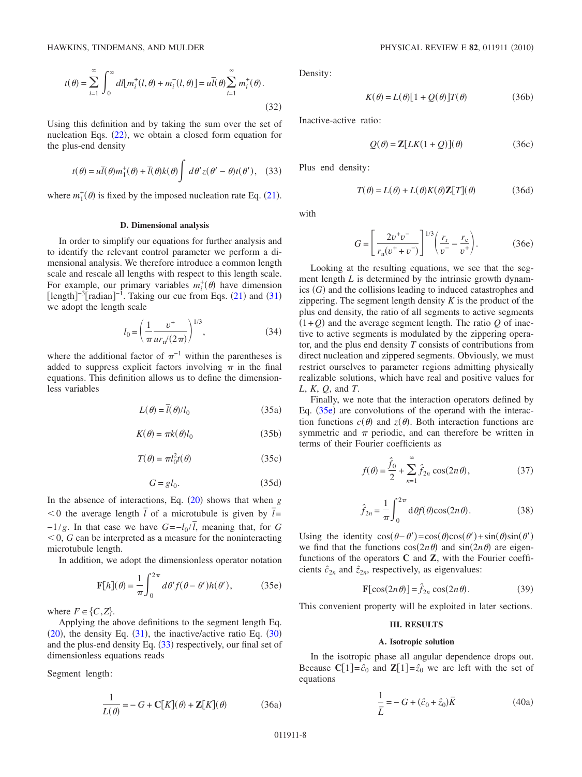$$
t(\theta) = \sum_{i=1}^{\infty} \int_0^{\infty} dl \big[m_i^+(l, \theta) + m_i^-(l, \theta)\big] = u\overline{l}(\theta) \sum_{i=1}^{\infty} m_i^+(\theta).
$$
\n(32)

Using this definition and by taking the sum over the set of nucleation Eqs.  $(22)$  $(22)$  $(22)$ , we obtain a closed form equation for the plus-end density

<span id="page-7-1"></span>
$$
t(\theta) = u\overline{l}(\theta)m_1^+(\theta) + \overline{l}(\theta)k(\theta)\int d\theta'z(\theta' - \theta)t(\theta'), \quad (33)
$$

where  $m_1^+(\theta)$  is fixed by the imposed nucleation rate Eq. ([21](#page-5-5)).

#### **D. Dimensional analysis**

In order to simplify our equations for further analysis and to identify the relevant control parameter we perform a dimensional analysis. We therefore introduce a common length scale and rescale all lengths with respect to this length scale. For example, our primary variables  $m_i^+(\theta)$  have dimension [length]<sup>-3</sup>[radian]<sup>-1</sup>. Taking our cue from Eqs.  $(21)$  $(21)$  $(21)$  and  $(31)$  $(31)$  $(31)$ we adopt the length scale

$$
l_0 = \left(\frac{1}{\pi} \frac{v^+}{u r_{\rm n}/(2\pi)}\right)^{1/3},\tag{34}
$$

where the additional factor of  $\pi^{-1}$  within the parentheses is added to suppress explicit factors involving  $\pi$  in the final equations. This definition allows us to define the dimensionless variables

$$
L(\theta) = \overline{l}(\theta) / l_0 \tag{35a}
$$

$$
K(\theta) = \pi k(\theta) l_0 \tag{35b}
$$

$$
T(\theta) = \pi l_0^2 t(\theta) \tag{35c}
$$

$$
G = gl_0. \tag{35d}
$$

In the absence of interactions, Eq.  $(20)$  $(20)$  $(20)$  shows that when *g*  $\approx$  0 the average length  $\bar{l}$  of a microtubule is given by  $\bar{l}$ =  $-1/g$ . In that case we have  $G=-l_0/\overline{l}$ , meaning that, for *G*  $0, G$  can be interpreted as a measure for the noninteracting microtubule length.

<span id="page-7-2"></span>In addition, we adopt the dimensionless operator notation

$$
\mathbf{F}[h](\theta) = \frac{1}{\pi} \int_0^{2\pi} d\theta' f(\theta - \theta') h(\theta'), \qquad (35e)
$$

where  $F \in \{C, Z\}$ .

Applying the above definitions to the segment length Eq.  $(20)$  $(20)$  $(20)$ , the density Eq.  $(31)$  $(31)$  $(31)$ , the inactive/active ratio Eq.  $(30)$  $(30)$  $(30)$ and the plus-end density Eq. ([33](#page-7-1)) respectively, our final set of dimensionless equations reads

<span id="page-7-4"></span>Segment length:

$$
\frac{1}{L(\theta)} = -G + \mathbf{C}[K](\theta) + \mathbf{Z}[K](\theta)
$$
 (36a)

Density:

$$
K(\theta) = L(\theta)[1 + Q(\theta)]T(\theta)
$$
 (36b)

Inactive-active ratio:

$$
Q(\theta) = \mathbf{Z}[LK(1+Q)](\theta)
$$
 (36c)

Plus end density:

$$
T(\theta) = L(\theta) + L(\theta)K(\theta)\mathbb{Z}[T](\theta)
$$
 (36d)

<span id="page-7-5"></span>with

$$
G = \left[\frac{2v^{+}v^{-}}{r_{n}(v^{+} + v^{-})}\right]^{1/3} \left(\frac{r_{r}}{v^{-}} - \frac{r_{c}}{v^{+}}\right). \tag{36e}
$$

Looking at the resulting equations, we see that the segment length *L* is determined by the intrinsic growth dynamics  $(G)$  and the collisions leading to induced catastrophes and zippering. The segment length density  $K$  is the product of the plus end density, the ratio of all segments to active segments  $(1+Q)$  and the average segment length. The ratio *Q* of inactive to active segments is modulated by the zippering operator, and the plus end density *T* consists of contributions from direct nucleation and zippered segments. Obviously, we must restrict ourselves to parameter regions admitting physically realizable solutions, which have real and positive values for *L*, *K*, *Q*, and *T*.

Finally, we note that the interaction operators defined by Eq. ([35e](#page-7-2)) are convolutions of the operand with the interaction functions  $c(\theta)$  and  $z(\theta)$ . Both interaction functions are symmetric and  $\pi$  periodic, and can therefore be written in terms of their Fourier coefficients as

$$
f(\theta) = \frac{\hat{f}_0}{2} + \sum_{n=1}^{\infty} \hat{f}_{2n} \cos(2n\theta),
$$
 (37)

$$
\hat{f}_{2n} = \frac{1}{\pi} \int_0^{2\pi} d\theta f(\theta) \cos(2n\theta). \tag{38}
$$

Using the identity  $cos(\theta - \theta') = cos(\theta)cos(\theta') + sin(\theta)sin(\theta')$ we find that the functions  $cos(2n\theta)$  and  $sin(2n\theta)$  are eigenfunctions of the operators **C** and **Z**, with the Fourier coefficients  $\hat{c}_{2n}$  and  $\hat{z}_{2n}$ , respectively, as eigenvalues:

$$
\mathbf{F}[\cos(2n\theta)] = \hat{f}_{2n}\cos(2n\theta). \tag{39}
$$

<span id="page-7-0"></span>This convenient property will be exploited in later sections.

#### **III. RESULTS**

#### **A. Isotropic solution**

<span id="page-7-3"></span>In the isotropic phase all angular dependence drops out. Because  $C[1]=\hat{c}_0$  and  $\mathbb{Z}[1]=\hat{z}_0$  we are left with the set of equations

$$
\frac{1}{\bar{L}} = -G + (\hat{c}_0 + \hat{z}_0)\bar{K}
$$
 (40a)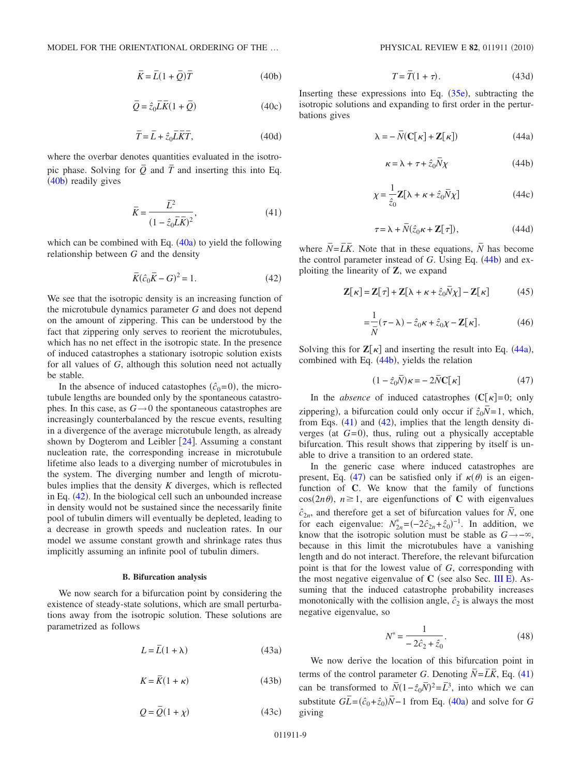$$
\overline{K} = \overline{L}(1+\overline{Q})\overline{T}
$$
 (40b)

$$
\overline{Q} = \hat{z}_0 \overline{L}\overline{K}(1 + \overline{Q})
$$
 (40c)

$$
\overline{T} = \overline{L} + \hat{z}_0 \overline{L}\overline{K}\overline{T}, \qquad (40d)
$$

<span id="page-8-4"></span><span id="page-8-0"></span>where the overbar denotes quantities evaluated in the isotropic phase. Solving for  $\overline{Q}$  and  $\overline{T}$  and inserting this into Eq.  $(40b)$  $(40b)$  $(40b)$  readily gives

$$
\overline{K} = \frac{\overline{L}^2}{(1 - \hat{z}_0 \overline{L} \overline{K})^2},\tag{41}
$$

which can be combined with Eq.  $(40a)$  $(40a)$  $(40a)$  to yield the following relationship between *G* and the density

$$
\overline{K}(\hat{c}_0 \overline{K} - G)^2 = 1.
$$
 (42)

<span id="page-8-1"></span>We see that the isotropic density is an increasing function of the microtubule dynamics parameter *G* and does not depend on the amount of zippering. This can be understood by the fact that zippering only serves to reorient the microtubules, which has no net effect in the isotropic state. In the presence of induced catastrophes a stationary isotropic solution exists for all values of *G*, although this solution need not actually be stable.

In the absence of induced catastophes  $(\hat{c}_0 = 0)$ , the microtubule lengths are bounded only by the spontaneous catastrophes. In this case, as  $G \rightarrow 0$  the spontaneous catastrophes are increasingly counterbalanced by the rescue events, resulting in a divergence of the average microtubule length, as already shown by Dogterom and Leibler  $[24]$  $[24]$  $[24]$ . Assuming a constant nucleation rate, the corresponding increase in microtubule lifetime also leads to a diverging number of microtubules in the system. The diverging number and length of microtubules implies that the density *K* diverges, which is reflected in Eq.  $(42)$  $(42)$  $(42)$ . In the biological cell such an unbounded increase in density would not be sustained since the necessarily finite pool of tubulin dimers will eventually be depleted, leading to a decrease in growth speeds and nucleation rates. In our model we assume constant growth and shrinkage rates thus implicitly assuming an infinite pool of tubulin dimers.

#### **B. Bifurcation analysis**

We now search for a bifurcation point by considering the existence of steady-state solutions, which are small perturbations away from the isotropic solution. These solutions are parametrized as follows

$$
L = \overline{L}(1 + \lambda) \tag{43a}
$$

$$
K = \overline{K}(1 + \kappa) \tag{43b}
$$

$$
Q = \overline{Q}(1+\chi) \tag{43c}
$$

$$
T = \overline{T}(1 + \tau). \tag{43d}
$$

<span id="page-8-3"></span><span id="page-8-2"></span>Inserting these expressions into Eq.  $(35e)$  $(35e)$  $(35e)$ , subtracting the isotropic solutions and expanding to first order in the perturbations gives

$$
\lambda = -\overline{N}(\mathbf{C}[\kappa] + \mathbf{Z}[\kappa])
$$
\n(44a)

$$
\kappa = \lambda + \tau + \hat{z}_0 \overline{N} \chi \tag{44b}
$$

$$
\chi = \frac{1}{\hat{z}_0} \mathbf{Z} [\lambda + \kappa + \hat{z}_0 \overline{N} \chi] \tag{44c}
$$

$$
\tau = \lambda + \overline{N}(\hat{z}_0 \kappa + \mathbf{Z}[\tau]),\tag{44d}
$$

where  $\overline{N} = \overline{L}\overline{K}$ . Note that in these equations,  $\overline{N}$  has become the control parameter instead of *G*. Using Eq. ([44b](#page-8-2)) and exploiting the linearity of **Z**, we expand

$$
\mathbf{Z}[\kappa] = \mathbf{Z}[\tau] + \mathbf{Z}[\lambda + \kappa + \hat{z}_0 \overline{N}\chi] - \mathbf{Z}[\kappa]
$$
 (45)

$$
=\frac{1}{\bar{N}}(\tau-\lambda)-\hat{z}_0\kappa+\hat{z}_0\chi-\mathbf{Z}[\kappa].
$$
 (46)

Solving this for  $\mathbb{Z}[\kappa]$  and inserting the result into Eq. ([44a](#page-8-3)), combined with Eq.  $(44b)$  $(44b)$  $(44b)$ , yields the relation

$$
(1 - \hat{z}_0 \overline{N})\kappa = -2\overline{N}\mathbf{C}[\kappa]
$$
 (47)

<span id="page-8-5"></span>In the *absence* of induced catastrophes  $(C[\kappa]=0;$  only zippering), a bifurcation could only occur if  $\hat{z}_0 \overline{N} = 1$ , which, from Eqs.  $(41)$  $(41)$  $(41)$  and  $(42)$  $(42)$  $(42)$ , implies that the length density diverges (at  $G=0$ ), thus, ruling out a physically acceptable bifurcation. This result shows that zippering by itself is unable to drive a transition to an ordered state.

In the generic case where induced catastrophes are present, Eq. ([47](#page-8-5)) can be satisfied only if  $\kappa(\theta)$  is an eigenfunction of **C**. We know that the family of functions  $cos(2n\theta), n \ge 1$ , are eigenfunctions of **C** with eigenvalues  $\hat{c}_{2n}$ , and therefore get a set of bifurcation values for  $\overline{N}$ , one for each eigenvalue:  $N_{2n}^* = (-2\hat{c}_{2n} + \hat{z}_0)^{-1}$ . In addition, we know that the isotropic solution must be stable as  $G \rightarrow -\infty$ , because in this limit the microtubules have a vanishing length and do not interact. Therefore, the relevant bifurcation point is that for the lowest value of *G*, corresponding with the most negative eigenvalue of  $C$  (see also Sec. [III E](#page-11-0)). Assuming that the induced catastrophe probability increases monotonically with the collision angle,  $\hat{c}_2$  is always the most negative eigenvalue, so

$$
N^* = \frac{1}{-2\hat{c}_2 + \hat{z}_0}.
$$
 (48)

<span id="page-8-6"></span>We now derive the location of this bifurcation point in terms of the control parameter *G*. Denoting  $\overline{N} = \overline{L}\overline{K}$ , Eq. ([41](#page-8-4)) can be transformed to  $\overline{N}(1-\hat{z}_0\overline{N})^2 = \overline{L}^3$ , into which we can substitute  $G\overline{L} = (\hat{c}_0 + \hat{z}_0)\overline{N} - 1$  from Eq. ([40a](#page-7-3)) and solve for *G* giving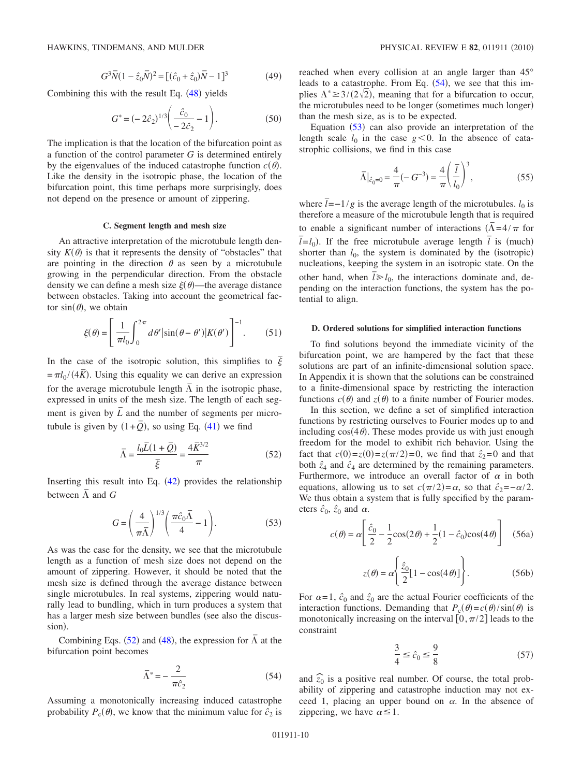$$
G^{3}\overline{N}(1-\hat{z}_{0}\overline{N})^{2} = [(\hat{c}_{0}+\hat{z}_{0})\overline{N}-1]^{3}
$$
 (49)

<span id="page-9-4"></span>Combining this with the result Eq.  $(48)$  $(48)$  $(48)$  yields

$$
G^* = (-2\hat{c}_2)^{1/3} \left( \frac{\hat{c}_0}{-2\hat{c}_2} - 1 \right). \tag{50}
$$

The implication is that the location of the bifurcation point as a function of the control parameter *G* is determined entirely by the eigenvalues of the induced catastrophe function  $c(\theta)$ . Like the density in the isotropic phase, the location of the bifurcation point, this time perhaps more surprisingly, does not depend on the presence or amount of zippering.

#### **C. Segment length and mesh size**

An attractive interpretation of the microtubule length density  $K(\theta)$  is that it represents the density of "obstacles" that are pointing in the direction  $\theta$  as seen by a microtubule growing in the perpendicular direction. From the obstacle density we can define a mesh size  $\xi(\theta)$ —the average distance between obstacles. Taking into account the geometrical factor  $sin(\theta)$ , we obtain

$$
\xi(\theta) = \left[\frac{1}{\pi l_0} \int_0^{2\pi} d\theta' |\sin(\theta - \theta')| K(\theta') \right]^{-1}.
$$
 (51)

In the case of the isotropic solution, this simplifies to  $\overline{\xi}$  $=\pi l_0 / (4\bar{K})$ . Using this equality we can derive an expression for the average microtubule length  $\overline{\Lambda}$  in the isotropic phase, expressed in units of the mesh size. The length of each segment is given by  $\overline{L}$  and the number of segments per microtubule is given by  $(1+\overline{Q})$ , so using Eq. ([41](#page-8-4)) we find

$$
\overline{\Lambda} = \frac{l_0 \overline{L} (1 + \overline{Q})}{\overline{\xi}} = \frac{4 \overline{K}^{3/2}}{\pi}
$$
(52)

<span id="page-9-2"></span><span id="page-9-0"></span>Inserting this result into Eq.  $(42)$  $(42)$  $(42)$  provides the relationship between  $\overline{\Lambda}$  and *G* 

$$
G = \left(\frac{4}{\pi \bar{\Lambda}}\right)^{1/3} \left(\frac{\pi \hat{c}_0 \bar{\Lambda}}{4} - 1\right). \tag{53}
$$

As was the case for the density, we see that the microtubule length as a function of mesh size does not depend on the amount of zippering. However, it should be noted that the mesh size is defined through the average distance between single microtubules. In real systems, zippering would naturally lead to bundling, which in turn produces a system that has a larger mesh size between bundles (see also the discussion).

<span id="page-9-1"></span>Combining Eqs. ([52](#page-9-0)) and ([48](#page-8-6)), the expression for  $\overline{\Lambda}$  at the bifurcation point becomes

$$
\bar{\Lambda}^* = -\frac{2}{\pi \hat{c}_2} \tag{54}
$$

Assuming a monotonically increasing induced catastrophe probability  $P_c(\theta)$ , we know that the minimum value for  $\hat{c}_2$  is

reached when every collision at an angle larger than 45° leads to a catastrophe. From Eq.  $(54)$  $(54)$  $(54)$ , we see that this implies  $\Lambda^* \geq 3/(2\sqrt{2})$ , meaning that for a bifurcation to occur, the microtubules need to be longer (sometimes much longer) than the mesh size, as is to be expected.

Equation  $(53)$  $(53)$  $(53)$  can also provide an interpretation of the length scale  $l_0$  in the case  $g \le 0$ . In the absence of catastrophic collisions, we find in this case

$$
\bar{\Lambda}|_{\hat{c}_0=0} = \frac{4}{\pi}(-G^{-3}) = \frac{4}{\pi} \left(\frac{\bar{l}}{l_0}\right)^3,\tag{55}
$$

where  $\overline{l}$ =−1/*g* is the average length of the microtubules. *l*<sub>0</sub> is therefore a measure of the microtubule length that is required to enable a significant number of interactions  $(\bar{\Lambda} = 4/\pi$  for  $\overline{l} = l_0$ ). If the free microtubule average length  $\overline{l}$  is (much) shorter than  $l_0$ , the system is dominated by the (isotropic) nucleations, keeping the system in an isotropic state. On the other hand, when  $\overline{l} \ge l_0$ , the interactions dominate and, depending on the interaction functions, the system has the potential to align.

### <span id="page-9-5"></span>**D. Ordered solutions for simplified interaction functions**

To find solutions beyond the immediate vicinity of the bifurcation point, we are hampered by the fact that these solutions are part of an infinite-dimensional solution space. In Appendix it is shown that the solutions can be constrained to a finite-dimensional space by restricting the interaction functions  $c(\theta)$  and  $z(\theta)$  to a finite number of Fourier modes.

In this section, we define a set of simplified interaction functions by restricting ourselves to Fourier modes up to and including  $cos(4\theta)$ . These modes provide us with just enough freedom for the model to exhibit rich behavior. Using the fact that  $c(0) = z(0) = z(\pi/2) = 0$ , we find that  $\hat{z}_2 = 0$  and that both  $\hat{z}_4$  and  $\hat{c}_4$  are determined by the remaining parameters. Furthermore, we introduce an overall factor of  $\alpha$  in both equations, allowing us to set  $c(\pi/2) = \alpha$ , so that  $\hat{c}_2 = -\alpha/2$ . We thus obtain a system that is fully specified by the parameters  $\hat{c}_0$ ,  $\hat{z}_0$  and  $\alpha$ .

<span id="page-9-3"></span>
$$
c(\theta) = \alpha \left[ \frac{\hat{c}_0}{2} - \frac{1}{2} \cos(2\theta) + \frac{1}{2} (1 - \hat{c}_0) \cos(4\theta) \right]
$$
 (56a)

$$
z(\theta) = \alpha \left\{ \frac{\hat{z}_0}{2} [1 - \cos(4\theta)] \right\}.
$$
 (56b)

For  $\alpha = 1$ ,  $\hat{c}_0$  and  $\hat{z}_0$  are the actual Fourier coefficients of the interaction functions. Demanding that  $P_c(\theta) = c(\theta)/\sin(\theta)$  is monotonically increasing on the interval  $[0,\pi/2]$  leads to the constraint

$$
\frac{3}{4} \le \hat{c}_0 \le \frac{9}{8} \tag{57}
$$

and  $\widehat{z_0}$  is a positive real number. Of course, the total probability of zippering and catastrophe induction may not exceed 1, placing an upper bound on  $\alpha$ . In the absence of zippering, we have  $\alpha \leq 1$ .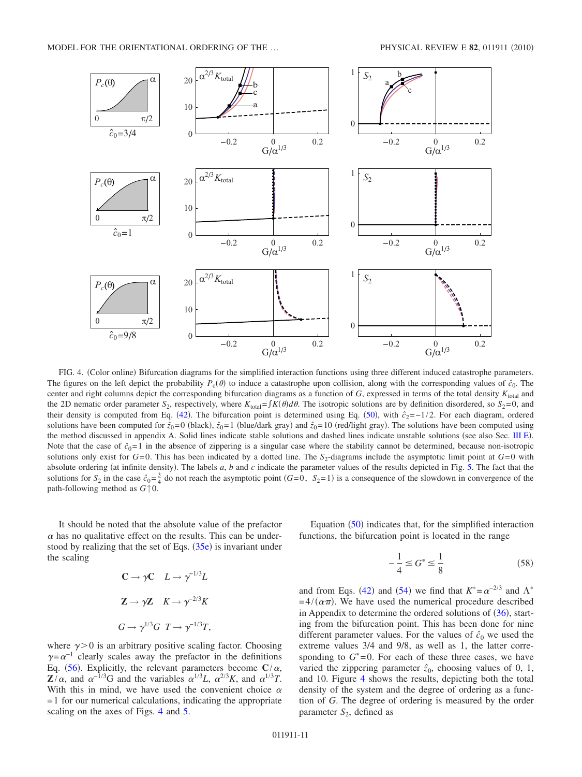<span id="page-10-0"></span>

FIG. 4. (Color online) Bifurcation diagrams for the simplified interaction functions using three different induced catastrophe parameters. The figures on the left depict the probability  $P_c(\theta)$  to induce a catastrophe upon collision, along with the corresponding values of  $\hat{c}_0$ . The center and right columns depict the corresponding bifurcation diagrams as a function of *G*, expressed in terms of the total density  $K_{\text{total}}$  and the 2D nematic order parameter  $S_2$ , respectively, where  $K_{\text{total}} = \int K(\theta) d\theta$ . The isotropic solutions are by definition disordered, so  $S_2 = 0$ , and their density is computed from Eq. ([42](#page-8-1)). The bifurcation point is determined using Eq. ([50](#page-9-4)), with  $\hat{c}_2$ =-1/2. For each diagram, ordered solutions have been computed for  $\hat{z}_0 = 0$  (black),  $\hat{z}_0 = 1$  (blue/dark gray) and  $\hat{z}_0 = 10$  (red/light gray). The solutions have been computed using the method discussed in appendix A. Solid lines indicate stable solutions and dashed lines indicate unstable solutions (see also Sec. [III E](#page-11-0)). Note that the case of  $\hat{c}_0$ =1 in the absence of zippering is a singular case where the stability cannot be determined, because non-isotropic solutions only exist for  $G=0$ . This has been indicated by a dotted line. The  $S_2$ -diagrams include the asymptotic limit point at  $G=0$  with absolute ordering (at infinite density). The labels *a*, *b* and *c* indicate the parameter values of the results depicted in Fig. [5.](#page-11-1) The fact that the solutions for  $S_2$  in the case  $\hat{c}_0 = \frac{3}{4}$  do not reach the asymptotic point  $(G=0, S_2=1)$  is a consequence of the slowdown in convergence of the path-following method as *G*↑0.

It should be noted that the absolute value of the prefactor  $\alpha$  has no qualitative effect on the results. This can be understood by realizing that the set of Eqs.  $(35e)$  $(35e)$  $(35e)$  is invariant under the scaling

$$
C \to \gamma C \quad L \to \gamma^{-1/3} L
$$
  

$$
Z \to \gamma Z \quad K \to \gamma^{-2/3} K
$$
  

$$
G \to \gamma^{1/3} G \quad T \to \gamma^{-1/3} T,
$$

where  $\gamma$  > 0 is an arbitrary positive scaling factor. Choosing  $\gamma = \alpha^{-1}$  clearly scales away the prefactor in the definitions Eq. ([56](#page-9-3)). Explicitly, the relevant parameters become  $C/\alpha$ ,  $\mathbf{Z}/\alpha$ , and  $\alpha^{-1/3}G$  and the variables  $\alpha^{1/3}L$ ,  $\alpha^{2/3}K$ , and  $\alpha^{1/3}T$ . With this in mind, we have used the convenient choice  $\alpha$ =1 for our numerical calculations, indicating the appropriate scaling on the axes of Figs. [4](#page-10-0) and [5.](#page-11-1)

Equation ([50](#page-9-4)) indicates that, for the simplified interaction functions, the bifurcation point is located in the range

$$
-\frac{1}{4} \le G^* \le \frac{1}{8} \tag{58}
$$

and from Eqs. ([42](#page-8-1)) and ([54](#page-9-1)) we find that  $K^* = \alpha^{-2/3}$  and  $\Lambda^*$  $=4/(\alpha \pi)$ . We have used the numerical procedure described in Appendix to determine the ordered solutions of  $(36)$  $(36)$  $(36)$ , starting from the bifurcation point. This has been done for nine different parameter values. For the values of  $\hat{c}_0$  we used the extreme values 3/4 and 9/8, as well as 1, the latter corresponding to  $G^*$ =0. For each of these three cases, we have varied the zippering parameter  $\hat{z}_0$ , choosing values of 0, 1, and 10. Figure [4](#page-10-0) shows the results, depicting both the total density of the system and the degree of ordering as a function of *G*. The degree of ordering is measured by the order parameter  $S_2$ , defined as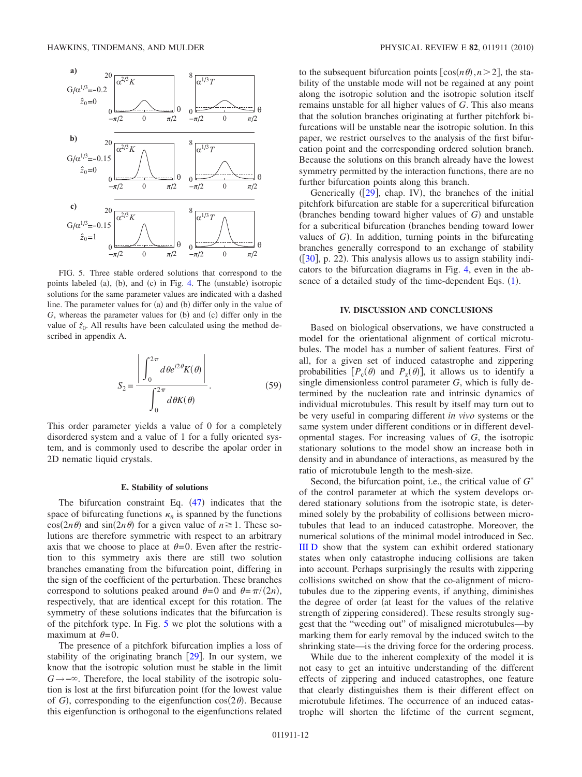<span id="page-11-1"></span>

FIG. 5. Three stable ordered solutions that correspond to the points labeled (a), (b), and (c) in Fig. [4.](#page-10-0) The (unstable) isotropic solutions for the same parameter values are indicated with a dashed line. The parameter values for (a) and (b) differ only in the value of *G*, whereas the parameter values for (b) and (c) differ only in the value of  $\hat{z}_0$ . All results have been calculated using the method described in appendix A.

$$
S_2 = \frac{\left| \int_0^{2\pi} d\theta e^{i2\theta} K(\theta) \right|}{\int_0^{2\pi} d\theta K(\theta)}.
$$
 (59)

This order parameter yields a value of 0 for a completely disordered system and a value of 1 for a fully oriented system, and is commonly used to describe the apolar order in 2D nematic liquid crystals.

### **E. Stability of solutions**

<span id="page-11-0"></span>The bifurcation constraint Eq.  $(47)$  $(47)$  $(47)$  indicates that the space of bifurcating functions  $\kappa_n$  is spanned by the functions  $cos(2n\theta)$  and  $sin(2n\theta)$  for a given value of  $n \ge 1$ . These solutions are therefore symmetric with respect to an arbitrary axis that we choose to place at  $\theta=0$ . Even after the restriction to this symmetry axis there are still two solution branches emanating from the bifurcation point, differing in the sign of the coefficient of the perturbation. These branches correspond to solutions peaked around  $\theta = 0$  and  $\theta = \pi/(2n)$ , respectively, that are identical except for this rotation. The symmetry of these solutions indicates that the bifurcation is of the pitchfork type. In Fig. [5](#page-11-1) we plot the solutions with a maximum at  $\theta$ =0.

The presence of a pitchfork bifurcation implies a loss of stability of the originating branch  $[29]$  $[29]$  $[29]$ . In our system, we know that the isotropic solution must be stable in the limit *G*→−∞. Therefore, the local stability of the isotropic solution is lost at the first bifurcation point (for the lowest value of  $G$ ), corresponding to the eigenfunction  $cos(2\theta)$ . Because this eigenfunction is orthogonal to the eigenfunctions related

to the subsequent bifurcation points  $[\cos(n\theta), n>2]$ , the stability of the unstable mode will not be regained at any point along the isotropic solution and the isotropic solution itself remains unstable for all higher values of *G*. This also means that the solution branches originating at further pitchfork bifurcations will be unstable near the isotropic solution. In this paper, we restrict ourselves to the analysis of the first bifurcation point and the corresponding ordered solution branch. Because the solutions on this branch already have the lowest symmetry permitted by the interaction functions, there are no further bifurcation points along this branch.

Generically  $(29]$  $(29]$  $(29]$ , chap. IV), the branches of the initial pitchfork bifurcation are stable for a supercritical bifurcation (branches bending toward higher values of  $G$ ) and unstable for a subcritical bifurcation (branches bending toward lower values of  $G$ ). In addition, turning points in the bifurcating branches generally correspond to an exchange of stability  $([30], p. 22)$  $([30], p. 22)$  $([30], p. 22)$ . This analysis allows us to assign stability indicators to the bifurcation diagrams in Fig. [4,](#page-10-0) even in the absence of a detailed study of the time-dependent Eqs.  $(1)$  $(1)$  $(1)$ .

### **IV. DISCUSSION AND CONCLUSIONS**

Based on biological observations, we have constructed a model for the orientational alignment of cortical microtubules. The model has a number of salient features. First of all, for a given set of induced catastrophe and zippering probabilities  $[P_c(\theta)$  and  $P_z(\theta)]$ , it allows us to identify a single dimensionless control parameter *G*, which is fully determined by the nucleation rate and intrinsic dynamics of individual microtubules. This result by itself may turn out to be very useful in comparing different *in vivo* systems or the same system under different conditions or in different developmental stages. For increasing values of *G*, the isotropic stationary solutions to the model show an increase both in density and in abundance of interactions, as measured by the ratio of microtubule length to the mesh-size.

Second, the bifurcation point, i.e., the critical value of *G* of the control parameter at which the system develops ordered stationary solutions from the isotropic state, is determined solely by the probability of collisions between microtubules that lead to an induced catastrophe. Moreover, the numerical solutions of the minimal model introduced in Sec. [III D](#page-9-5) show that the system can exhibit ordered stationary states when only catastrophe inducing collisions are taken into account. Perhaps surprisingly the results with zippering collisions switched on show that the co-alignment of microtubules due to the zippering events, if anything, diminishes the degree of order (at least for the values of the relative strength of zippering considered). These results strongly suggest that the "weeding out" of misaligned microtubules—by marking them for early removal by the induced switch to the shrinking state—is the driving force for the ordering process.

While due to the inherent complexity of the model it is not easy to get an intuitive understanding of the different effects of zippering and induced catastrophes, one feature that clearly distinguishes them is their different effect on microtubule lifetimes. The occurrence of an induced catastrophe will shorten the lifetime of the current segment,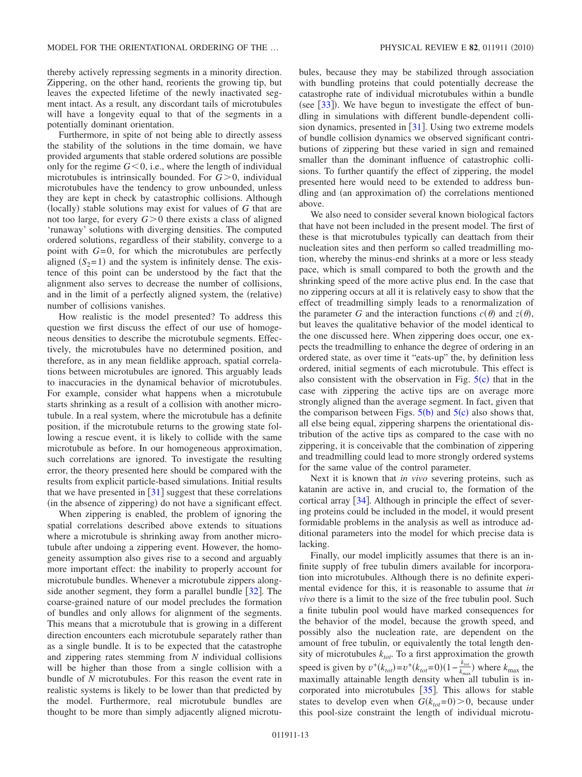thereby actively repressing segments in a minority direction. Zippering, on the other hand, reorients the growing tip, but leaves the expected lifetime of the newly inactivated segment intact. As a result, any discordant tails of microtubules will have a longevity equal to that of the segments in a potentially dominant orientation.

Furthermore, in spite of not being able to directly assess the stability of the solutions in the time domain, we have provided arguments that stable ordered solutions are possible only for the regime  $G \le 0$ , i.e., where the length of individual microtubules is intrinsically bounded. For  $G > 0$ , individual microtubules have the tendency to grow unbounded, unless they are kept in check by catastrophic collisions. Although (locally) stable solutions may exist for values of  $G$  that are not too large, for every  $G>0$  there exists a class of aligned 'runaway' solutions with diverging densities. The computed ordered solutions, regardless of their stability, converge to a point with *G*=0, for which the microtubules are perfectly aligned  $(S_2 = 1)$  and the system is infinitely dense. The existence of this point can be understood by the fact that the alignment also serves to decrease the number of collisions, and in the limit of a perfectly aligned system, the (relative) number of collisions vanishes.

How realistic is the model presented? To address this question we first discuss the effect of our use of homogeneous densities to describe the microtubule segments. Effectively, the microtubules have no determined position, and therefore, as in any mean fieldlike approach, spatial correlations between microtubules are ignored. This arguably leads to inaccuracies in the dynamical behavior of microtubules. For example, consider what happens when a microtubule starts shrinking as a result of a collision with another microtubule. In a real system, where the microtubule has a definite position, if the microtubule returns to the growing state following a rescue event, it is likely to collide with the same microtubule as before. In our homogeneous approximation, such correlations are ignored. To investigate the resulting error, the theory presented here should be compared with the results from explicit particle-based simulations. Initial results that we have presented in  $\lceil 31 \rceil$  $\lceil 31 \rceil$  $\lceil 31 \rceil$  suggest that these correlations (in the absence of zippering) do not have a significant effect.

When zippering is enabled, the problem of ignoring the spatial correlations described above extends to situations where a microtubule is shrinking away from another microtubule after undoing a zippering event. However, the homogeneity assumption also gives rise to a second and arguably more important effect: the inability to properly account for microtubule bundles. Whenever a microtubule zippers alongside another segment, they form a parallel bundle  $\lceil 32 \rceil$  $\lceil 32 \rceil$  $\lceil 32 \rceil$ . The coarse-grained nature of our model precludes the formation of bundles and only allows for alignment of the segments. This means that a microtubule that is growing in a different direction encounters each microtubule separately rather than as a single bundle. It is to be expected that the catastrophe and zippering rates stemming from *N* individual collisions will be higher than those from a single collision with a bundle of *N* microtubules. For this reason the event rate in realistic systems is likely to be lower than that predicted by the model. Furthermore, real microtubule bundles are thought to be more than simply adjacently aligned microtubules, because they may be stabilized through association with bundling proteins that could potentially decrease the catastrophe rate of individual microtubules within a bundle (see  $[33]$  $[33]$  $[33]$ ). We have begun to investigate the effect of bundling in simulations with different bundle-dependent collision dynamics, presented in  $\lceil 31 \rceil$  $\lceil 31 \rceil$  $\lceil 31 \rceil$ . Using two extreme models of bundle collision dynamics we observed significant contributions of zippering but these varied in sign and remained smaller than the dominant influence of catastrophic collisions. To further quantify the effect of zippering, the model presented here would need to be extended to address bundling and (an approximation of) the correlations mentioned above.

We also need to consider several known biological factors that have not been included in the present model. The first of these is that microtubules typically can deattach from their nucleation sites and then perform so called treadmilling motion, whereby the minus-end shrinks at a more or less steady pace, which is small compared to both the growth and the shrinking speed of the more active plus end. In the case that no zippering occurs at all it is relatively easy to show that the effect of treadmilling simply leads to a renormalization of the parameter *G* and the interaction functions  $c(\theta)$  and  $z(\theta)$ , but leaves the qualitative behavior of the model identical to the one discussed here. When zippering does occur, one expects the treadmilling to enhance the degree of ordering in an ordered state, as over time it "eats-up" the, by definition less ordered, initial segments of each microtubule. This effect is also consistent with the observation in Fig.  $5(c)$  $5(c)$  that in the case with zippering the active tips are on average more strongly aligned than the average segment. In fact, given that the comparison between Figs.  $5(b)$  $5(b)$  and  $5(c)$  also shows that, all else being equal, zippering sharpens the orientational distribution of the active tips as compared to the case with no zippering, it is conceivable that the combination of zippering and treadmilling could lead to more strongly ordered systems for the same value of the control parameter.

Next it is known that *in vivo* severing proteins, such as katanin are active in, and crucial to, the formation of the cortical array  $\lceil 34 \rceil$  $\lceil 34 \rceil$  $\lceil 34 \rceil$ . Although in principle the effect of severing proteins could be included in the model, it would present formidable problems in the analysis as well as introduce additional parameters into the model for which precise data is lacking.

Finally, our model implicitly assumes that there is an infinite supply of free tubulin dimers available for incorporation into microtubules. Although there is no definite experimental evidence for this, it is reasonable to assume that *in vivo* there is a limit to the size of the free tubulin pool. Such a finite tubulin pool would have marked consequences for the behavior of the model, because the growth speed, and possibly also the nucleation rate, are dependent on the amount of free tubulin, or equivalently the total length density of microtubules  $k_{tot}$ . To a first approximation the growth speed is given by  $v^+(k_{tot}) = v^+(k_{tot} = 0)(1 - \frac{k_{tot}}{k_{max}})$  where  $k_{max}$  the maximally attainable length density when all tubulin is incorporated into microtubules  $[35]$  $[35]$  $[35]$ . This allows for stable states to develop even when  $G(k_{tot}=0) > 0$ , because under this pool-size constraint the length of individual microtu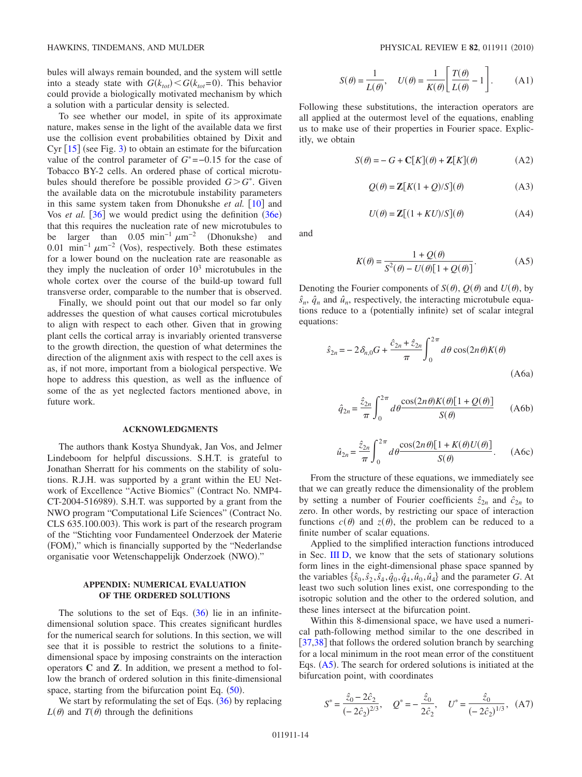bules will always remain bounded, and the system will settle into a steady state with  $G(k_{tot}) < G(k_{tot}=0)$ . This behavior could provide a biologically motivated mechanism by which a solution with a particular density is selected.

To see whether our model, in spite of its approximate nature, makes sense in the light of the available data we first use the collision event probabilities obtained by Dixit and Cyr  $[15]$  $[15]$  $[15]$  (see Fig. [3](#page-2-2)) to obtain an estimate for the bifurcation value of the control parameter of  $G^* = -0.15$  for the case of Tobacco BY-2 cells. An ordered phase of cortical microtubules should therefore be possible provided  $G > G^*$ . Given the available data on the microtubule instability parameters in this same system taken from Dhonukshe et al. [[10](#page-14-8)] and Vos *et al.* [[36](#page-14-19)] we would predict using the definition  $(36e)$  $(36e)$  $(36e)$ that this requires the nucleation rate of new microtubules to be larger than  $0.05 \text{ min}^{-1} \mu \text{m}^{-2}$  (Dhonukshe) and 0.01 min<sup>-1</sup>  $\mu$ m<sup>-2</sup> (Vos), respectively. Both these estimates for a lower bound on the nucleation rate are reasonable as they imply the nucleation of order  $10<sup>3</sup>$  microtubules in the whole cortex over the course of the build-up toward full transverse order, comparable to the number that is observed.

Finally, we should point out that our model so far only addresses the question of what causes cortical microtubules to align with respect to each other. Given that in growing plant cells the cortical array is invariably oriented transverse to the growth direction, the question of what determines the direction of the alignment axis with respect to the cell axes is as, if not more, important from a biological perspective. We hope to address this question, as well as the influence of some of the as yet neglected factors mentioned above, in future work.

### **ACKNOWLEDGMENTS**

The authors thank Kostya Shundyak, Jan Vos, and Jelmer Lindeboom for helpful discussions. S.H.T. is grateful to Jonathan Sherratt for his comments on the stability of solutions. R.J.H. was supported by a grant within the EU Network of Excellence "Active Biomics" Contract No. NMP4- CT-2004-516989). S.H.T. was supported by a grant from the NWO program "Computational Life Sciences" Contract No. CLS 635.100.003). This work is part of the research program of the "Stichting voor Fundamenteel Onderzoek der Materie (FOM)," which is financially supported by the "Nederlandse organisatie voor Wetenschappelijk Onderzoek (NWO)."

## **APPENDIX: NUMERICAL EVALUATION OF THE ORDERED SOLUTIONS**

The solutions to the set of Eqs.  $(36)$  $(36)$  $(36)$  lie in an infinitedimensional solution space. This creates significant hurdles for the numerical search for solutions. In this section, we will see that it is possible to restrict the solutions to a finitedimensional space by imposing constraints on the interaction operators **C** and **Z**. In addition, we present a method to follow the branch of ordered solution in this finite-dimensional space, starting from the bifurcation point Eq.  $(50)$  $(50)$  $(50)$ .

We start by reformulating the set of Eqs.  $(36)$  $(36)$  $(36)$  by replacing  $L(\theta)$  and  $T(\theta)$  through the definitions

$$
S(\theta) = \frac{1}{L(\theta)}, \quad U(\theta) = \frac{1}{K(\theta)} \left[ \frac{T(\theta)}{L(\theta)} - 1 \right].
$$
 (A1)

Following these substitutions, the interaction operators are all applied at the outermost level of the equations, enabling us to make use of their properties in Fourier space. Explicitly, we obtain

$$
S(\theta) = -G + \mathbf{C}[K](\theta) + \mathbf{Z}[K](\theta)
$$
 (A2)

$$
Q(\theta) = \mathbf{Z}[K(1+Q)/S](\theta)
$$
 (A3)

$$
U(\theta) = \mathbf{Z}[(1 + KU)/S](\theta)
$$
 (A4)

<span id="page-13-0"></span>and

$$
K(\theta) = \frac{1 + Q(\theta)}{S^2(\theta) - U(\theta)[1 + Q(\theta)]}.
$$
 (A5)

Denoting the Fourier components of  $S(\theta)$ ,  $Q(\theta)$  and  $U(\theta)$ , by  $\hat{s}_n$ ,  $\hat{q}_n$  and  $\hat{u}_n$ , respectively, the interacting microtubule equations reduce to a (potentially infinite) set of scalar integral equations:

$$
\hat{s}_{2n} = -2\delta_{n,0}G + \frac{\hat{c}_{2n} + \hat{z}_{2n}}{\pi} \int_0^{2\pi} d\theta \cos(2n\theta) K(\theta)
$$
\n(A6a)

$$
\hat{q}_{2n} = \frac{\hat{z}_{2n}}{\pi} \int_0^{2\pi} d\theta \frac{\cos(2n\theta)K(\theta)[1 + Q(\theta)]}{S(\theta)} \qquad (A6b)
$$

$$
\hat{u}_{2n} = \frac{\hat{z}_{2n}}{\pi} \int_0^{2\pi} d\theta \frac{\cos(2n\theta)[1 + K(\theta)U(\theta)]}{S(\theta)}.
$$
 (A6c)

From the structure of these equations, we immediately see that we can greatly reduce the dimensionality of the problem by setting a number of Fourier coefficients  $\hat{z}_{2n}$  and  $\hat{c}_{2n}$  to zero. In other words, by restricting our space of interaction functions  $c(\theta)$  and  $z(\theta)$ , the problem can be reduced to a finite number of scalar equations.

Applied to the simplified interaction functions introduced in Sec. [III D,](#page-9-5) we know that the sets of stationary solutions form lines in the eight-dimensional phase space spanned by the variables  $\{\hat{s}_0, \hat{s}_2, \hat{s}_4, \hat{q}_0, \hat{q}_4, \hat{u}_0, \hat{u}_4\}$  and the parameter *G*. At least two such solution lines exist, one corresponding to the isotropic solution and the other to the ordered solution, and these lines intersect at the bifurcation point.

Within this 8-dimensional space, we have used a numerical path-following method similar to the one described in [[37,](#page-14-28)[38](#page-14-29)] that follows the ordered solution branch by searching for a local minimum in the root mean error of the constituent Eqs.  $(A5)$  $(A5)$  $(A5)$ . The search for ordered solutions is initiated at the bifurcation point, with coordinates

$$
S^* = \frac{\hat{z}_0 - 2\hat{c}_2}{(-2\hat{c}_2)^{2/3}}, \quad Q^* = -\frac{\hat{z}_0}{2\hat{c}_2}, \quad U^* = \frac{\hat{z}_0}{(-2\hat{c}_2)^{1/3}}, \quad (A7)
$$